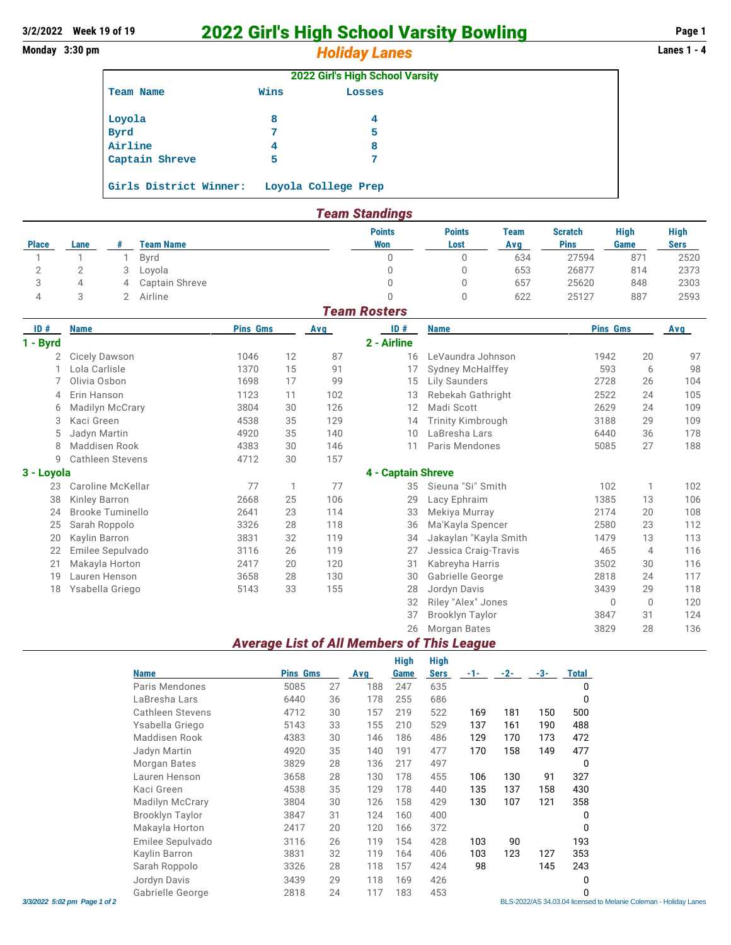## **3/2/2022 Week 19 of 19** 2022 Girl's High School Varsity Bowling **Page 1**

**Monday 3:30 pm Holiday Lanes** 

|                | 2022 Girl's High School Varsity |        |  |  |  |  |
|----------------|---------------------------------|--------|--|--|--|--|
| Team Name      | Wins                            | Losses |  |  |  |  |
|                | 8                               | 4      |  |  |  |  |
| Loyola<br>Byrd | 7                               | 5      |  |  |  |  |
| Airline        | 4                               | 8      |  |  |  |  |
| Captain Shreve | 5                               | 7      |  |  |  |  |

**Girls District Winner: Loyola College Prep**

#### *Team Standings*

|              |      |   |                | <b>Points</b>       | <b>Points</b> | Team | <b>Scratch</b> | High | <b>High</b> |
|--------------|------|---|----------------|---------------------|---------------|------|----------------|------|-------------|
| <b>Place</b> | Lane |   | Team Name      | Won                 | Lost          | Avg  | <b>Pins</b>    | Game | <b>Sers</b> |
|              |      |   | Bvrd           | U                   |               | 634  | 27594          | 871  | 2520        |
|              |      | 3 | Loyola         | U                   |               | 653  | 26877          | 814  | 2373        |
|              | 4    | 4 | Captain Shreve | U                   |               | 657  | 25620          | 848  | 2303        |
| 4            |      |   | Airline        |                     |               | 622  | 25127          | 887  | 2593        |
|              |      |   |                | <b>Team Rosters</b> |               |      |                |      |             |

| ID#        | <b>Name</b>             | <b>Pins Gms</b> |    | <b>Avg</b> | ID#                | <b>Name</b>              | <b>Pins Gms</b> |                | <b>Avg</b> |
|------------|-------------------------|-----------------|----|------------|--------------------|--------------------------|-----------------|----------------|------------|
| 1 - Byrd   |                         |                 |    |            | 2 - Airline        |                          |                 |                |            |
| 2          | Cicely Dawson           | 1046            | 12 | 87         | 16                 | LeVaundra Johnson        | 1942            | 20             | 97         |
|            | Lola Carlisle           | 1370            | 15 | 91         | 17                 | <b>Sydney McHalffey</b>  | 593             | 6              | 98         |
|            | Olivia Osbon            | 1698            | 17 | 99         | 15                 | Lily Saunders            | 2728            | 26             | 104        |
| 4          | Erin Hanson             | 1123            | 11 | 102        | 13                 | Rebekah Gathright        | 2522            | 24             | 105        |
| 6          | <b>Madilyn McCrary</b>  | 3804            | 30 | 126        | 12                 | Madi Scott               | 2629            | 24             | 109        |
| 3          | Kaci Green              | 4538            | 35 | 129        | 14                 | <b>Trinity Kimbrough</b> | 3188            | 29             | 109        |
| 5          | Jadyn Martin            | 4920            | 35 | 140        | 10                 | LaBresha Lars            | 6440            | 36             | 178        |
| 8          | Maddisen Rook           | 4383            | 30 | 146        | 11                 | Paris Mendones           | 5085            | 27             | 188        |
| 9          | <b>Cathleen Stevens</b> | 4712            | 30 | 157        |                    |                          |                 |                |            |
| 3 - Loyola |                         |                 |    |            | 4 - Captain Shreve |                          |                 |                |            |
| 23         | Caroline McKellar       | 77              |    | 77         | 35                 | Sieuna "Si" Smith        | 102             |                | 102        |
| 38         | Kinley Barron           | 2668            | 25 | 106        | 29                 | Lacy Ephraim             | 1385            | 13             | 106        |
| 24         | <b>Brooke Tuminello</b> | 2641            | 23 | 114        | 33                 | Mekiya Murray            | 2174            | 20             | 108        |
| 25         | Sarah Roppolo           | 3326            | 28 | 118        | 36                 | Ma'Kayla Spencer         | 2580            | 23             | 112        |
| 20         | Kaylin Barron           | 3831            | 32 | 119        | 34                 | Jakaylan "Kayla Smith    | 1479            | 13             | 113        |
| 22         | Emilee Sepulvado        | 3116            | 26 | 119        | 27                 | Jessica Craig-Travis     | 465             | $\overline{4}$ | 116        |
| 21         | Makayla Horton          | 2417            | 20 | 120        | 31                 | Kabreyha Harris          | 3502            | 30             | 116        |
| 19         | Lauren Henson           | 3658            | 28 | 130        | 30                 | Gabrielle George         | 2818            | 24             | 117        |
| 18         | Ysabella Griego         | 5143            | 33 | 155        | 28                 | Jordyn Davis             | 3439            | 29             | 118        |
|            |                         |                 |    |            | 32                 | Riley "Alex" Jones       | $\Omega$        | $\Omega$       | 120        |
|            |                         |                 |    |            | 37                 | <b>Brooklyn Taylor</b>   | 3847            | 31             | 124        |

#### *Average List of All Members of This League*

|                         |                 |    |     | <b>High</b> | <b>High</b> |     |       |     |              |
|-------------------------|-----------------|----|-----|-------------|-------------|-----|-------|-----|--------------|
| <b>Name</b>             | <b>Pins Gms</b> |    | Avg | Game        | <b>Sers</b> | -1- | $-2-$ | -3- | <b>Total</b> |
| Paris Mendones          | 5085            | 27 | 188 | 247         | 635         |     |       |     | 0            |
| LaBresha Lars           | 6440            | 36 | 178 | 255         | 686         |     |       |     | 0            |
| <b>Cathleen Stevens</b> | 4712            | 30 | 157 | 219         | 522         | 169 | 181   | 150 | 500          |
| Ysabella Griego         | 5143            | 33 | 155 | 210         | 529         | 137 | 161   | 190 | 488          |
| Maddisen Rook           | 4383            | 30 | 146 | 186         | 486         | 129 | 170   | 173 | 472          |
| Jadyn Martin            | 4920            | 35 | 140 | 191         | 477         | 170 | 158   | 149 | 477          |
| Morgan Bates            | 3829            | 28 | 136 | 217         | 497         |     |       |     | 0            |
| Lauren Henson           | 3658            | 28 | 130 | 178         | 455         | 106 | 130   | 91  | 327          |
| Kaci Green              | 4538            | 35 | 129 | 178         | 440         | 135 | 137   | 158 | 430          |
| Madilyn McCrary         | 3804            | 30 | 126 | 158         | 429         | 130 | 107   | 121 | 358          |
| Brooklyn Taylor         | 3847            | 31 | 124 | 160         | 400         |     |       |     | 0            |
| Makayla Horton          | 2417            | 20 | 120 | 166         | 372         |     |       |     | 0            |
| Emilee Sepulvado        | 3116            | 26 | 119 | 154         | 428         | 103 | 90    |     | 193          |
| Kaylin Barron           | 3831            | 32 | 119 | 164         | 406         | 103 | 123   | 127 | 353          |
| Sarah Roppolo           | 3326            | 28 | 118 | 157         | 424         | 98  |       | 145 | 243          |
| Jordyn Davis            | 3439            | 29 | 118 | 169         | 426         |     |       |     | 0            |
| Gabrielle George        | 2818            | 24 | 117 | 183         | 453         |     |       |     | 0            |

26 Morgan Bates 3829 28 136